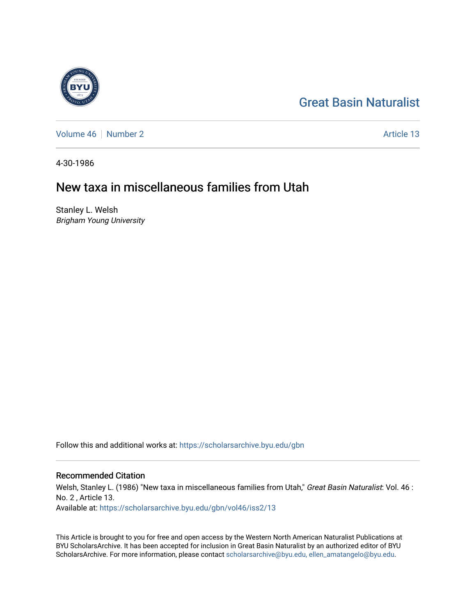

[Great Basin Naturalist](https://scholarsarchive.byu.edu/gbn) 

[Volume 46](https://scholarsarchive.byu.edu/gbn/vol46) [Number 2](https://scholarsarchive.byu.edu/gbn/vol46/iss2) Article 13

4-30-1986

## New taxa in miscellaneous families from Utah

Stanley L. Welsh Brigham Young University

Follow this and additional works at: [https://scholarsarchive.byu.edu/gbn](https://scholarsarchive.byu.edu/gbn?utm_source=scholarsarchive.byu.edu%2Fgbn%2Fvol46%2Fiss2%2F13&utm_medium=PDF&utm_campaign=PDFCoverPages) 

## Recommended Citation

Welsh, Stanley L. (1986) "New taxa in miscellaneous families from Utah," Great Basin Naturalist: Vol. 46 : No. 2 , Article 13. Available at: [https://scholarsarchive.byu.edu/gbn/vol46/iss2/13](https://scholarsarchive.byu.edu/gbn/vol46/iss2/13?utm_source=scholarsarchive.byu.edu%2Fgbn%2Fvol46%2Fiss2%2F13&utm_medium=PDF&utm_campaign=PDFCoverPages) 

This Article is brought to you for free and open access by the Western North American Naturalist Publications at BYU ScholarsArchive. It has been accepted for inclusion in Great Basin Naturalist by an authorized editor of BYU ScholarsArchive. For more information, please contact [scholarsarchive@byu.edu, ellen\\_amatangelo@byu.edu.](mailto:scholarsarchive@byu.edu,%20ellen_amatangelo@byu.edu)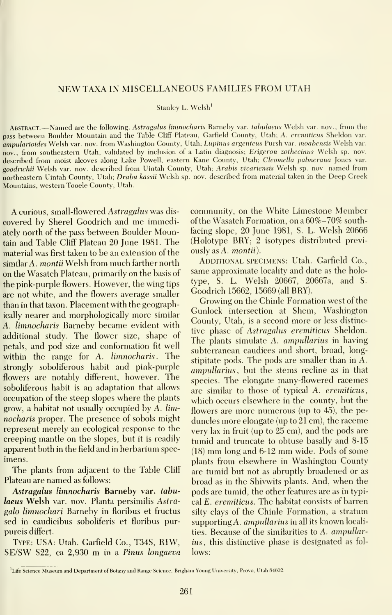## NEWTAXA INMISCELLANEOUS FAMILIES FROM UTAH

Stanley L. Welsh'

ABSTRACT. —Named are the following: Astragalus limnocharis Barneby var. tabulaeus Welsh var. nov., from the pass between Boulder Mountain and the Table Cliff Plateau, Garfield County, Utah; A. eremiticus Sheldon var. ampularioides Welsh var. nov. from Washington County, Utah; Lupinus argenteus Pursh var. moabensis Welsh var. nov., from southeastern Utah, validated by inclusion of a Latin diagnosis; Erigeron zothecinus Welsh sp. nov. described from moist alcoves along Lake Powell, eastern Kane County, Utah; Cleomella palmerana Jones var. goodrichii Welsh var. nov. described from Uintah County, Utah; Arahis vivariensis Welsh sp. nov. named from northeastern Uintah County, Utah; Draba kassii Welsh sp. nov. described from material taken in the Deep Creek Mountains, western Tooele County, Utah.

A curious, small-flowered Astragalus was dis covered by Sherel Goodrich and me immediately north of the pass between Boulder Mountain and Table ClifF Plateau 20 June 1981. The material was first taken to be an extension of the similar A. montii Welsh from much farther north on the Wasatch Plateau, primarily on the basis of the pink-purple flowers. However, the wing tips are not white, and the flowers average smaller than in that taxon. Placement with the geographically nearer and morphologically more similar A. limnocharis Barneby became evident with additional study. The flower size, shape of petals, and pod size and conformation fit well within the range for A. limnocharis. The strongly soboliferous habit and pink-purple flowers are notably different, however. The soboliferous habit is an adaptation that allows occupation of the steep slopes where the plants grow, a habitat not usually occupied by A. lim nocharis proper. The presence of sobols might represent merely an ecological response to the creeping mantle on the slopes, but it is readily apparent both in the field and in herbarium spec imens.

The plants from adjacent to the Table Cliff Plateau are named as follows:

Astragalus limnocharis Barneby var. tabulaeus Welsh var. nov. Planta persimilis Astragalo limnochari Barneby in floribus et fructus sed in caudicibus soboliferis et floribus purpureis differt.

Type: USA: Utah. Garfield Co., T34S, RIW, SE/SW S22, ca 2,930 m in <sup>a</sup> Pinus longaeva

community, on the White Limestone Member of the Wasatch Formation, on <sup>a</sup>60%-70% southfacing slope, 20 June 1981, S. L. Welsh 20666 (Holotype BRY; 2 isotypes distributed previ ously as A. montii).

ADDITIONAL SPECIMENS: Utah. Garfield Co., same approximate locality and date as the holotype, S. L. Welsh 20667, 20667a, and S. Goodrich 15662, 15669 (all BRY).

Growing on the Chinle Formation west of the Gunlock intersection at Shem, Washington County, Utah, is a second more or less distinctive phase of Astragalus eremiticus Sheldon. The plants simulate A. ampullarius in having subterranean caudices and short, broad, longstipitate pods. The pods are smaller than in A. ampullarius, but the stems recline as in that species. The elongate many-flowered racemes are similar to those of typical A. eremiticus, which occurs elsewhere in the county, but the flowers are more numerous (up to 45), the pe duncles more elongate (up to 21 cm), the raceme very lax in fruit (up to 25 cm), and the pods are tumid and truncate to obtuse basally and 8-15 (18) mm long and 6-12 mm wide. Pods of some plants from elsewhere in Washington County are tumid but not as abruptly broadened or as broad as in the Shivwits plants. And, when the pods are tumid, the other features are as in typical E. eremiticus. The habitat consists of barren silty clays of the Chinle Formation, a stratum supporting A. ampullarius in all its known localities. Because of the similarities to A. ampullarius, this distinctive phase is designated as fol lows:

<sup>&#</sup>x27;Life Science Museum and Department of Botany and Range Science. Brigham Young University, Provo, Utah 84602.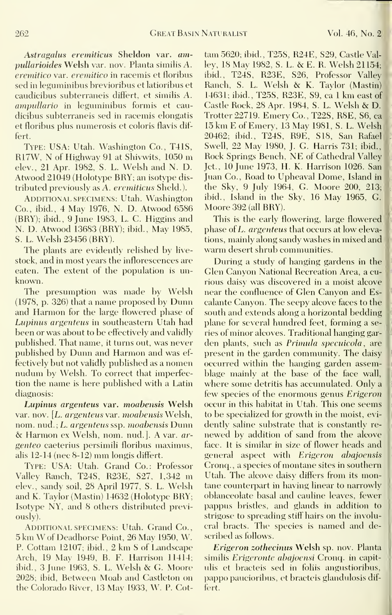Astragalus eremiticus Sheldon var. ampullarioides Welsh var. nov. Planta similis A. eremitico var. eremitico in racemis et floribus sed in leguminibus brevioribus et latioribus et caudicibus subterraneis difFert, et similis A. ampullario in leguminibus formis et caudicibus subterraneis sed in racemis elongatis et floribus plus numerosis et coloris flavis differt.

Type: USA: Utah. Washington Co., T41S, R17W, N of Highway 91 at Shivwits, 1050 m elev., 21 Apr. 1982, S. L. Welsh and N. D. Atwood 21049 (Holotype BRY; an isotype dis tributed previously as A. eremiticus Sheld.).

ADDITIONAL SPECIMENS: Utah. Washington Co., ibid., 4 May 1976, N. D. Atwood 6586 (BRY); ibid., 9 June 1983, L. C. Higgins and N. D. Atwood 13683 (BRY); ibid., Mav 1985, S. L. Welsh 23456 (BRY).

The plants are evidently relished by live stock, and in most years the inflorescences are eaten. The extent of the population is un known.

The presumption was made by Welsh (1978, p. 326) that a name proposed by Dunn and Harmon for the large flowered phase of Lupinus argenteus in southeastern Utah had been or was about to be effectively and validly published. That name, it turns out, was never published by Dunn and Harmon and was ef fectively but not validly published as a nomen nudum by Welsh. To correct that imperfection the name is here published with a Latin diagnosis:

Lupinus argenteus var. moabensis Welsh var. nov. [L. argenteus var. moabensis Welsh, nom. nud. ; L. argenteus ssp. moabensis Dunn & Harmon ex Welsh, nom. nud.]. A var. ar genteo caeterius persimili floribus maximus, alis 12-14 (nee 8-12) mm longis differt.

Type: USA: Utah. Grand Co.: Professor Valley Ranch, T24S, R23E, S27, 1,342 m elev., sandy soil, 28 April 1977, S. L. Welsh and K. Taylor (Mastin) 14632 (Holotype BRY; Isotype NY, and 8 others distributed previously).

ADDITIONAL SPECIMENS: Utah. Grand Co., <sup>5</sup> km W of Deadhorse Point, <sup>26</sup> May 1950, W. P. Cottam 12107; ibid., 2 km <sup>S</sup> of Landscape Arch, 19 May 1949, B. F. Harrison 11414; ibid., <sup>3</sup> June 1963, S. L. Welsh & G. Moore 2028; ibid, Between Moab and Castleton on the Colorado River, 13 May 1933, W. P.Cottam 5620; ibid., T25S, R24E, S29, Castle Vallev, <sup>18</sup> Mav 1982, S. L. & E. R. Welsh 21154; ibid., T24S, R23E, S26, Professor Valley Ranch, S. L. Welsh & K. Tavlor (Mastin)' 14631; ibid., T25S, R23E, S9, ca <sup>1</sup>km east of Castle Rock, <sup>28</sup> Apr. 1984, S. L. Welsh & D. Trotter 22719. EmervCo., T22S, R8E, S6, ca <sup>15</sup> km E of Emerv, <sup>13</sup> May 1981, S. L. Welsh 20462; ibid., T24S, R9E, S18, San Rafael Swell, 22 May 1980, J. G. Harris 731; ibid., Rock Springs Bench, NE of Cathedral Valley Jet., 10 June 1973, H. K. Harrison 1026. San Juan Co., Road to Upheaval Dome, Island in the Sky, 9 July 1964, G. Moore 200, 213; ibid.. Island in the Skv, 16 May 1965, G. Moore 392 (all BRY). I

This is the early flowering, large flowered phase of L. *argenteus* that occurs at low elevations, mainly along sandy washes in mixed and warm desert shrub communities.

During a study of hanging gardens in the Glen Canyon National Recreation Area, a curious daisy was discovered in a moist alcove near the confluence of Glen Canyon and Escalante Canyon. The seepy alcove faces to the south and extends along a horizontal bedding plane for several hundred feet, forming a series of minor alcoves. Traditional hanging gar den plants, such as Primula specuicola, are present in the garden community. The daisy occurred within the hanging garden assemblage mainly at the base of the face wall, where some detritis has accumulated. Only a few species of the enormous genus Erigeron occur in this habitat in Utah. This one seems to be specialized for growth in the moist, evi dently saline substrate that is constantly re newed by addition of sand from the alcove face. It is similar in size of flower heads and general aspect with Erigeron abajoensis Cronq. , a species of montane sites in southern Utah. The alcove daisy differs from its montane counterpart in having linear to narrowly oblanceolate basal and cauline leaves, fewer pappus bristles, and glands in addition to strigose to spreading stiff hairs on the involucral bracts. The species is named and described as follows.

Erigeron zothecinus Welsh sp. nov. Planta similis Erigeronte abajoensi Cronq. in capitulis et bracteis sed in foliis angustioribus, pappo paucioribus, et bracteis glandulosis differt.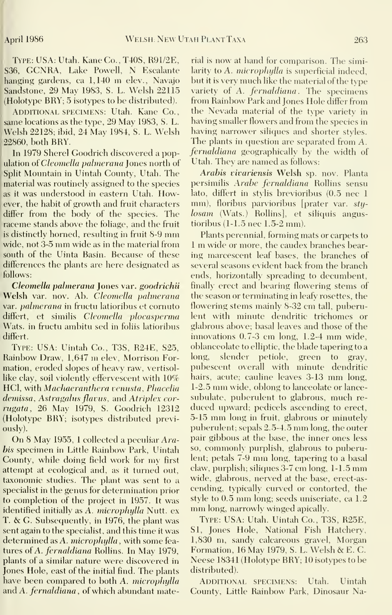Type: USA: Utah. KaneCo., T40S, R91/2E, S36, GCNRA, Lake Powell, N Escalante hanging gardens, ca 1,140 m elev., Navajo Sandstone, 29 May 1983, S. L. Welsh 22115 (Holotype BRY; 5 isotypes to be distributed).

ADDITIONAL SPECIMENS: Utah. Kane Co., same locations as the type, 29 May 1983, S. L. Welsh 22128; ibid, 24 May 1984, S. L. Welsh 22860, both BRY.

In 1979 Sherel Goodrich discovered a population of *Cleomella palmerana* Jones north of Split Mountain in Uintah County, Utah. The material was routinely assigned to the species as it was understood in eastern Utah. How ever, the habit of growth and fruit characters differ from the body of the species. The raceme stands above the foliage, and the fruit is distinctly horned, resulting in fruit 8-9 mm wide, not 3-5 mm wide as in the material from south of the Uinta Basin. Because of these differences the plants are here designated as follows:

Cleomella palmerana Jones var. goodrichii Welsh var. nov. Ab. Cleomella palmerana var. *palmerana* in fructu latioribus et cornuto differt, et similis Cleomella plocasperma Wats, in fructu ambitu sed in foliis latioribus differt.

Type: USA: Uintah Co., T3S, R24E, S25, Rainbow Draw, 1,647 m elev, Morrison Formation, eroded slopes of heavy raw, vertisollike clay, soil violently effervescent with  $10\%$ HCI, with Machaeranthera venusta, Phacelia demissa, Astragalus flavus, and Atriplex corrugata, 26 May 1979, S. Goodrich 12312 (Holotype BRY; isotypes distributed previously).

On <sup>8</sup> May 1955, <sup>1</sup> collected <sup>a</sup> peculiar Arahis specimen in Little Rainbow Park, Uintah County, while doing field work for my first attempt at ecological and, as it turned out, taxonomic studies. The plant was sent to a specialist in the genus for determination prior to completion of the project in 1957. It was style to 0.5 mm long; seeds uniserially steps identified initially as A microphylla Nutt ex mm long, narrowly winged apically. identified initially as A. microphylla Nutt. ex T. & G. Subsequently, in 1976, the plant was sent again to the specialist, and this time it was determined as A. microphylla, with some features of A. fernaldiana Rollins. In May 1979, plants of a similar nature were discovered in Jones Hole, east of the initial find. The plants have been compared to both A. microphylla and A. fernaldiana, of which abundant mate-

rial is now at hand for comparison. The similarity to A. *microphylla* is superficial indeed, but it is very much like the material of the type variety of A. fernaldiana. The specimens from Rainbow Park and Jones Hole differ from the Nevada material of the type variety in having smaller flowers and from the species in having narrower siliques and shorter styles. The plants in question are separated from A. fernaldiana geographically by the width of Utah. They are named as follows:

Arabis vivariensis Welsh sp. nov. Planta persimilis Arabe fernaldiana Rollins sensu lato, differt in stylis brevioribus (0.5 nee <sup>1</sup>mm), floribus parvioribus [prater var. sty losam (Wats.) Rollins], et siliquis angustioribus (1-1.5 nee 1.5-2 mm).

Plants perennial, forming mats or carpets to <sup>1</sup> m wide or more, the caudex branches bearing marcescent leaf bases, the branches of several seasons evident back from the branch ends, horizontally spreading to decumbent, finally erect and bearing flowering stems of the season or terminating in leafy rosettes, the flowering stems mainly 8-32 cm tall, puberulent with minute dendritic trichomes or glabrous above; basal leaves and those of the innovations 0.7-3 cm long, 1.2-4 mm wide, oblanceolate to elliptic, the blade tapering to a long, slender petiole, green to gray, pubescent overall with minute dendritic hairs, acute; cauline leaves 3-13 mm long, 1-2.5 mm wide, oblong to lanceolate or lance subulate, puberulent to glabrous, much re duced upward; pedicels ascending to erect, 5-15 mm long in fruit, glabrous or minutely puberulent; sepals 2.5-4.5 mm long, the outer pair gilibous at the base, the inner ones less so, commonly purplish, glabrous to puberulent; petals 7-9 mm long, tapering to <sup>a</sup> basal claw, purplish; siliques 3-7 cm long, 1-1.5 mm wide, glabrous, nerved at the base, erect-as cending, typically curved or contorted, the style to  $0.5$  mm long; seeds uniseriate, ca  $1.2$ 

Type: USA: Utah. Uintah Co., T3S, R25E, SI, Jones Hole, National Fish Hatchery, 1,830 m, sandy calcareous gravel, Morgan Formation, <sup>16</sup> May 1979, S. L. Welsh & E. C. Neese 18341 (Holotype BRY; 10 isotypes to be distributed).

ADDITIONAL SPECIMENS: Utah. Uintah County, Little Rainbow Park, Dinosaur Na